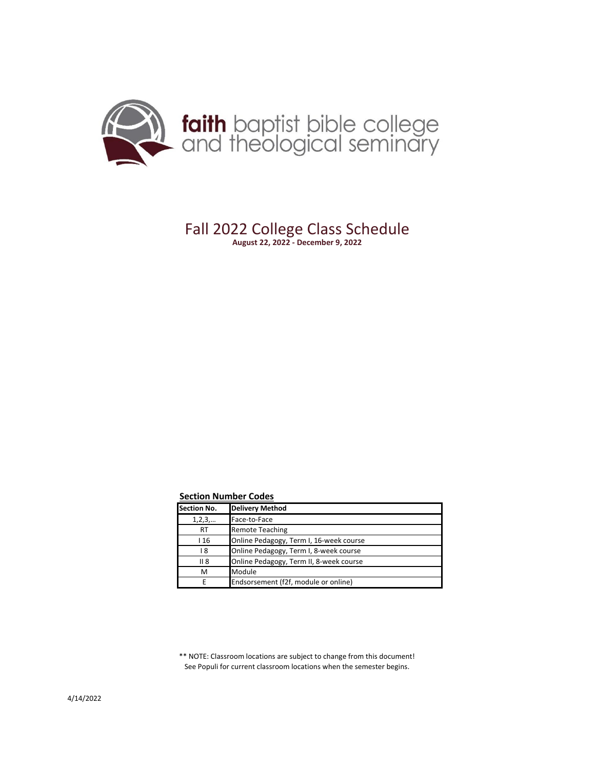

# Fall 2022 College Class Schedule **August 22, 2022 - December 9, 2022**

#### **Section Number Codes**

| <b>Section No.</b> | <b>Delivery Method</b>                  |
|--------------------|-----------------------------------------|
| $1, 2, 3, \dots$   | Face-to-Face                            |
| <b>RT</b>          | <b>Remote Teaching</b>                  |
| 116                | Online Pedagogy, Term I, 16-week course |
| ۱8                 | Online Pedagogy, Term I, 8-week course  |
| II <sub>8</sub>    | Online Pedagogy, Term II, 8-week course |
| м                  | Module                                  |
|                    | Endsorsement (f2f, module or online)    |

\*\* NOTE: Classroom locations are subject to change from this document! See Populi for current classroom locations when the semester begins.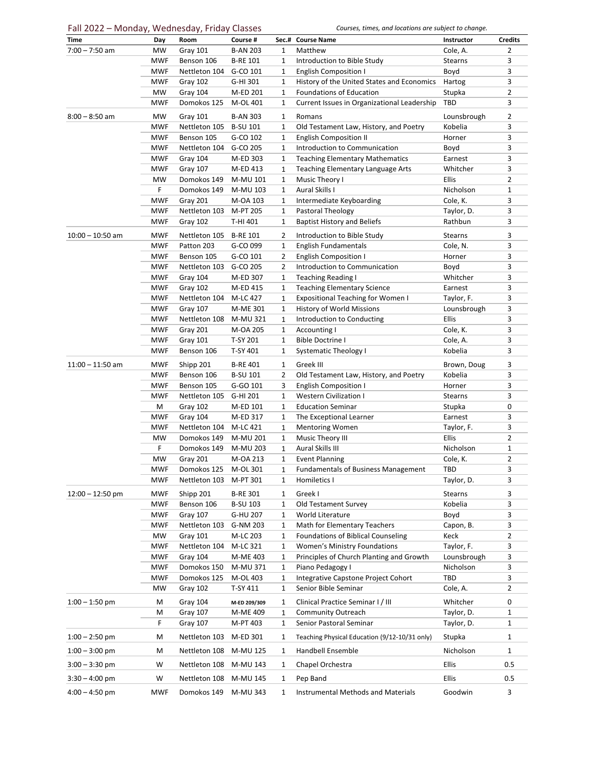# Fall 2022 – Monday, Wednesday, Friday Classes *Courses, times, and locations are subject to change*.

| Time               | Day        | Room                      | Course #        |              | Sec.# Course Name                             | Instructor                | <b>Credits</b> |
|--------------------|------------|---------------------------|-----------------|--------------|-----------------------------------------------|---------------------------|----------------|
| $7:00 - 7:50$ am   | <b>MW</b>  | Gray 101                  | <b>B-AN 203</b> | 1            | Matthew                                       | Cole, A.                  | 2              |
|                    | <b>MWF</b> | Benson 106                | <b>B-RE 101</b> | 1            | Introduction to Bible Study                   | <b>Stearns</b>            | 3              |
|                    | <b>MWF</b> | Nettleton 104             | G-CO 101        | 1            | <b>English Composition I</b>                  | Boyd                      | 3              |
|                    | <b>MWF</b> | Gray 102                  | G-HI 301        | 1            | History of the United States and Economics    | Hartog                    | 3              |
|                    | <b>MW</b>  | Gray 104                  | M-ED 201        | $\mathbf{1}$ | Foundations of Education                      | Stupka                    | $\overline{2}$ |
|                    | <b>MWF</b> | Domokos 125               | M-OL 401        | 1            | Current Issues in Organizational Leadership   | <b>TBD</b>                | 3              |
| $8:00 - 8:50$ am   | <b>MW</b>  | Gray 101                  | <b>B-AN 303</b> | 1            | Romans                                        | Lounsbrough               | 2              |
|                    | <b>MWF</b> | Nettleton 105 B-SU 101    |                 | 1            | Old Testament Law, History, and Poetry        | Kobelia                   | 3              |
|                    | <b>MWF</b> | Benson 105                | G-CO 102        | 1            | <b>English Composition II</b>                 | Horner                    | 3              |
|                    | <b>MWF</b> | Nettleton 104             | G-CO 205        | 1            | Introduction to Communication                 | Boyd                      | 3              |
|                    | <b>MWF</b> | Gray 104                  | M-ED 303        | 1            | <b>Teaching Elementary Mathematics</b>        | Earnest                   | 3              |
|                    | <b>MWF</b> | Gray 107                  | M-ED 413        | 1            | Teaching Elementary Language Arts             | Whitcher                  | 3              |
|                    | <b>MW</b>  | Domokos 149               | M-MU 101        | 1            | Music Theory I                                | Ellis                     | $\overline{2}$ |
|                    | F          | Domokos 149               | M-MU 103        | 1            | Aural Skills I                                | Nicholson                 | $\mathbf{1}$   |
|                    | <b>MWF</b> | Gray 201                  | M-OA 103        | 1            | Intermediate Keyboarding                      | Cole, K.                  | 3              |
|                    | <b>MWF</b> | Nettleton 103             | M-PT 205        | 1            | Pastoral Theology                             | Taylor, D.                | 3              |
|                    | <b>MWF</b> | Gray 102                  | T-HI 401        | 1            | <b>Baptist History and Beliefs</b>            | Rathbun                   | 3              |
|                    |            |                           |                 |              |                                               |                           |                |
| $10:00 - 10:50$ am | <b>MWF</b> | Nettleton 105             | <b>B-RE 101</b> | 2            | Introduction to Bible Study                   | <b>Stearns</b>            | 3              |
|                    | <b>MWF</b> | Patton 203                | G-CO 099        | 1            | <b>English Fundamentals</b>                   | Cole, N.                  | 3              |
|                    | <b>MWF</b> | Benson 105                | G-CO 101        | 2            | <b>English Composition I</b>                  | Horner                    | 3              |
|                    | <b>MWF</b> | Nettleton 103 G-CO 205    |                 | 2            | Introduction to Communication                 | Boyd                      | 3              |
|                    | <b>MWF</b> | Gray 104                  | M-ED 307        | 1            | <b>Teaching Reading I</b>                     | Whitcher                  | 3              |
|                    | <b>MWF</b> | Gray 102                  | M-ED 415        | 1            | <b>Teaching Elementary Science</b>            | Earnest                   | 3              |
|                    | <b>MWF</b> | Nettleton 104             | M-LC 427        | 1            | <b>Expositional Teaching for Women I</b>      | Taylor, F.                | 3              |
|                    | <b>MWF</b> | Gray 107                  | M-ME 301        | 1            | History of World Missions                     | Lounsbrough               | 3              |
|                    | <b>MWF</b> | Nettleton 108             | M-MU 321        | 1            | Introduction to Conducting                    | Ellis                     | 3              |
|                    | <b>MWF</b> | Gray 201                  | M-OA 205        | 1            | Accounting I                                  | Cole, K.                  | 3              |
|                    | <b>MWF</b> | Gray 101                  | T-SY 201        | $\mathbf{1}$ | <b>Bible Doctrine I</b>                       | Cole, A.                  | 3              |
|                    | <b>MWF</b> | Benson 106                | T-SY 401        | 1            | <b>Systematic Theology I</b>                  | Kobelia                   | 3              |
| $11:00 - 11:50$ am | <b>MWF</b> | Shipp 201                 | <b>B-RE 401</b> | 1            | Greek III                                     | Brown, Doug               | 3              |
|                    | <b>MWF</b> | Benson 106                | <b>B-SU 101</b> | 2            | Old Testament Law, History, and Poetry        | Kobelia                   | 3              |
|                    | <b>MWF</b> | Benson 105                | G-GO 101        | 3            | <b>English Composition I</b>                  | Horner                    | 3              |
|                    | <b>MWF</b> | Nettleton 105             | G-HI 201        | 1            | <b>Western Civilization I</b>                 | <b>Stearns</b>            | 3              |
|                    | M          | Gray 102                  | M-ED 101        | 1            | <b>Education Seminar</b>                      | Stupka                    | 0              |
|                    | <b>MWF</b> | Gray 104                  | M-ED 317        | 1            | The Exceptional Learner                       | Earnest                   | 3              |
|                    | <b>MWF</b> | Nettleton 104             | M-LC 421        | 1            | <b>Mentoring Women</b>                        | Taylor, F.                | 3              |
|                    | <b>MW</b>  | Domokos 149               | M-MU 201        | 1            | Music Theory III                              | Ellis                     | $\overline{2}$ |
|                    | F          | Domokos 149               | M-MU 203        | 1            | Aural Skills III                              | Nicholson                 | 1              |
|                    | <b>MW</b>  | Gray 201                  | M-OA 213        | 1            | <b>Event Planning</b>                         | Cole, K.                  | $\overline{2}$ |
|                    | MWF        | Domokos 125 M-OL 301      |                 | 1            | <b>Fundamentals of Business Management</b>    | TBD                       | 3              |
|                    | MWF        | Nettleton 103             | M-PT 301        | 1            | Homiletics I                                  | Taylor, D.                | 3              |
|                    |            |                           |                 |              |                                               |                           |                |
| $12:00 - 12:50$ pm | <b>MWF</b> | Shipp 201                 | <b>B-RE 301</b> | 1            | Greek I                                       | <b>Stearns</b>            | 3              |
|                    | <b>MWF</b> | Benson 106                | <b>B-SU 103</b> | 1            | Old Testament Survey                          | Kobelia                   | 3              |
|                    | <b>MWF</b> | Gray 107<br>Nettleton 103 | G-HU 207        | 1            | World Literature                              | Boyd                      | 3              |
|                    | <b>MWF</b> |                           | G-NM 203        | 1            | Math for Elementary Teachers                  | Capon, B.                 | 3              |
|                    | <b>MW</b>  | Gray 101<br>Nettleton 104 | M-LC 203        | 1            | <b>Foundations of Biblical Counseling</b>     | Keck                      | 2              |
|                    | <b>MWF</b> |                           | M-LC 321        | 1            | Women's Ministry Foundations                  | Taylor, F.<br>Lounsbrough | 3              |
|                    | <b>MWF</b> | Gray 104                  | M-ME 403        | 1            | Principles of Church Planting and Growth      |                           | 3              |
|                    | <b>MWF</b> | Domokos 150               | M-MU 371        | 1            | Piano Pedagogy I                              | Nicholson                 | 3              |
|                    | <b>MWF</b> | Domokos 125               | M-OL 403        | 1            | Integrative Capstone Project Cohort           | TBD                       | 3              |
|                    | MW         | Gray 102                  | T-SY 411        | 1            | Senior Bible Seminar                          | Cole, A.                  | 2              |
| $1:00 - 1:50$ pm   | M          | Gray 104                  | M-ED 209/309    | 1            | Clinical Practice Seminar I / III             | Whitcher                  | 0              |
|                    | M          | Gray 107                  | M-ME 409        | 1            | <b>Community Outreach</b>                     | Taylor, D.                | 1              |
|                    | F          | Gray 107                  | M-PT 403        | 1            | Senior Pastoral Seminar                       | Taylor, D.                | 1              |
| $1:00 - 2:50$ pm   | М          | Nettleton 103             | M-ED 301        | 1            | Teaching Physical Education (9/12-10/31 only) | Stupka                    | 1              |
| $1:00 - 3:00$ pm   | M          | Nettleton 108             | M-MU 125        | 1            | Handbell Ensemble                             | Nicholson                 | 1              |
| $3:00 - 3:30$ pm   | W          | Nettleton 108             | M-MU 143        | 1            | Chapel Orchestra                              | Ellis                     | 0.5            |
|                    |            |                           |                 |              |                                               | Ellis                     | 0.5            |
| $3:30 - 4:00$ pm   | W          | Nettleton 108             | M-MU 145        | 1            | Pep Band                                      |                           |                |
| $4:00 - 4:50$ pm   | <b>MWF</b> | Domokos 149               | M-MU 343        | 1            | <b>Instrumental Methods and Materials</b>     | Goodwin                   | 3              |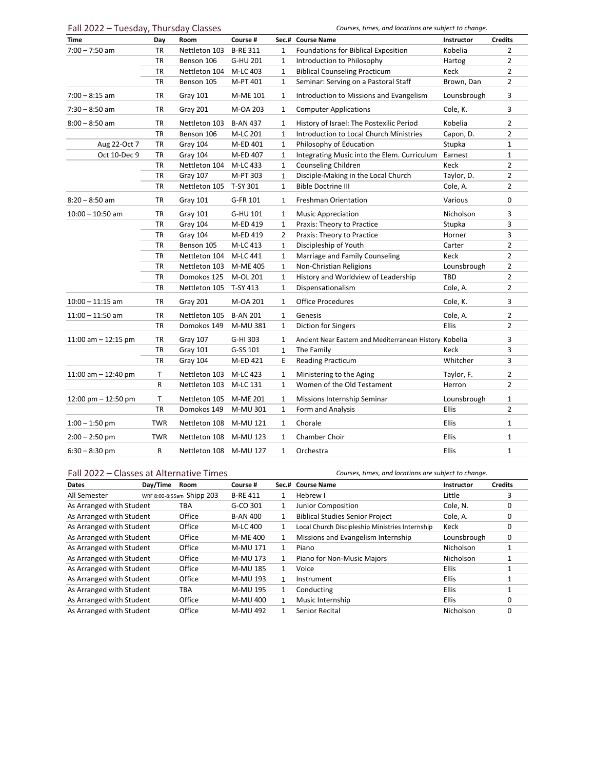## Fall 2022 – Tuesday, Thursday Classes *Courses, times, and locations are subject to change*.

| $7:00 - 7:50$ am<br><b>TR</b><br>Nettleton 103<br><b>B-RE 311</b><br>Foundations for Biblical Exposition<br>Kobelia<br>1<br>2<br><b>TR</b><br>Benson 106<br>G-HU 201<br>2<br>1<br>Introduction to Philosophy<br>Hartog<br><b>TR</b><br>$\overline{2}$<br>Nettleton 104<br>M-LC 403<br>$\mathbf{1}$<br><b>Biblical Counseling Practicum</b><br>Keck<br>$\overline{2}$<br><b>TR</b><br>Benson 105<br>M-PT 401<br>1<br>Seminar: Serving on a Pastoral Staff<br>Brown, Dan<br>3<br>$7:00 - 8:15$ am<br>TR<br>Gray 101<br>M-ME 101<br>Introduction to Missions and Evangelism<br>Lounsbrough<br>1<br>$7:30 - 8:50$ am<br>3<br>TR<br>Gray 201<br>M-OA 203<br><b>Computer Applications</b><br>Cole, K.<br>1<br>$8:00 - 8:50$ am<br><b>TR</b><br>Kobelia<br>$\overline{2}$<br>Nettleton 103<br><b>B-AN 437</b><br>History of Israel: The Postexilic Period<br>1<br><b>TR</b><br>Benson 106<br>Introduction to Local Church Ministries<br>2<br>M-LC 201<br>$\mathbf{1}$<br>Capon, D.<br><b>TR</b><br>Gray 104<br>Philosophy of Education<br>Stupka<br>1<br>Aug 22-Oct 7<br>M-ED 401<br>$\mathbf{1}$<br>Integrating Music into the Elem. Curriculum<br>$\mathbf 1$<br>Oct 10-Dec 9<br>TR<br>Gray 104<br>M-ED 407<br>Earnest<br>1<br>Keck<br>2<br>TR<br>Nettleton 104<br>M-LC 433<br>1<br>Counseling Children<br>TR<br>Gray 107<br>M-PT 303<br>Taylor, D.<br>2<br>1<br>Disciple-Making in the Local Church<br><b>TR</b><br>Nettleton 105<br><b>Bible Doctrine III</b><br>Cole, A.<br>2<br><b>T-SY 301</b><br>1<br>$8:20 - 8:50$ am<br><b>TR</b><br>Gray 101<br>G-FR 101<br><b>Freshman Orientation</b><br>Various<br>0<br>$\mathbf{1}$<br>3<br>$10:00 - 10:50$ am<br><b>TR</b><br>Gray 101<br>Nicholson<br>G-HU 101<br>1<br><b>Music Appreciation</b><br>3<br><b>TR</b><br>Gray 104<br>M-ED 419<br>1<br>Stupka<br>Praxis: Theory to Practice<br>3<br><b>TR</b><br>Gray 104<br>M-ED 419<br>2<br>Praxis: Theory to Practice<br>Horner<br>TR<br>Discipleship of Youth<br>2<br>Benson 105<br>M-LC 413<br>Carter<br>1<br>$\overline{2}$<br><b>TR</b><br>Nettleton 104<br>M-LC 441<br>Marriage and Family Counseling<br>Keck<br>1<br><b>TR</b><br>Non-Christian Religions<br>Nettleton 103<br>M-ME 405<br>Lounsbrough<br>2<br>1<br><b>TR</b><br><b>TBD</b><br>2<br>Domokos 125<br>M-OL 201<br>1<br>History and Worldview of Leadership<br>$\overline{2}$<br><b>TR</b><br>Nettleton 105<br>T-SY 413<br>Dispensationalism<br>Cole, A.<br>1<br><b>Office Procedures</b><br>3<br>$10:00 - 11:15$ am<br>TR<br>Gray 201<br>M-OA 201<br>1<br>Cole, K.<br><b>TR</b><br>$\mathbf{1}$<br>Cole, A.<br>2<br>$11:00 - 11:50$ am<br>Nettleton 105<br><b>B-AN 201</b><br>Genesis<br>$\overline{2}$<br>Ellis<br>TR<br>Domokos 149<br>1<br>Diction for Singers<br>M-MU 381<br><b>TR</b><br>11:00 am $-$ 12:15 pm<br>Gray 107<br>G-HI 303<br>3<br>1<br>Ancient Near Eastern and Mediterranean History Kobelia<br><b>TR</b><br>3<br>Gray 101<br>G-SS 101<br>The Family<br>Keck<br>1<br>3<br><b>TR</b><br>M-ED 421<br>Whitcher<br>Gray 104<br>E<br><b>Reading Practicum</b><br>т<br>M-LC 423<br>2<br>11:00 am $-$ 12:40 pm<br>Nettleton 103<br>1<br>Ministering to the Aging<br>Taylor, F.<br>$\mathsf{R}$<br>$\overline{2}$<br>Women of the Old Testament<br>Nettleton 103<br>M-LC 131<br>1<br>Herron<br>T<br>Nettleton 105<br>M-ME 201<br>Missions Internship Seminar<br>Lounsbrough<br>1<br>$12:00 \text{ pm} - 12:50 \text{ pm}$<br>1<br><b>TR</b><br>2<br>Domokos 149<br>M-MU 301<br>Form and Analysis<br>Ellis<br>1 | Time             | Day        | Room          | Course # |              | Sec.# Course Name | Instructor   | <b>Credits</b> |
|--------------------------------------------------------------------------------------------------------------------------------------------------------------------------------------------------------------------------------------------------------------------------------------------------------------------------------------------------------------------------------------------------------------------------------------------------------------------------------------------------------------------------------------------------------------------------------------------------------------------------------------------------------------------------------------------------------------------------------------------------------------------------------------------------------------------------------------------------------------------------------------------------------------------------------------------------------------------------------------------------------------------------------------------------------------------------------------------------------------------------------------------------------------------------------------------------------------------------------------------------------------------------------------------------------------------------------------------------------------------------------------------------------------------------------------------------------------------------------------------------------------------------------------------------------------------------------------------------------------------------------------------------------------------------------------------------------------------------------------------------------------------------------------------------------------------------------------------------------------------------------------------------------------------------------------------------------------------------------------------------------------------------------------------------------------------------------------------------------------------------------------------------------------------------------------------------------------------------------------------------------------------------------------------------------------------------------------------------------------------------------------------------------------------------------------------------------------------------------------------------------------------------------------------------------------------------------------------------------------------------------------------------------------------------------------------------------------------------------------------------------------------------------------------------------------------------------------------------------------------------------------------------------------------------------------------------------------------------------------------------------------------------------------------------------------------------------------------------------------------------------------------------------------------------------------------------------------------------------------------------------------------------------------------------------------------------------------------------------------------------------------------------------------------------------------------------------------------------------------|------------------|------------|---------------|----------|--------------|-------------------|--------------|----------------|
|                                                                                                                                                                                                                                                                                                                                                                                                                                                                                                                                                                                                                                                                                                                                                                                                                                                                                                                                                                                                                                                                                                                                                                                                                                                                                                                                                                                                                                                                                                                                                                                                                                                                                                                                                                                                                                                                                                                                                                                                                                                                                                                                                                                                                                                                                                                                                                                                                                                                                                                                                                                                                                                                                                                                                                                                                                                                                                                                                                                                                                                                                                                                                                                                                                                                                                                                                                                                                                                                                      |                  |            |               |          |              |                   |              |                |
|                                                                                                                                                                                                                                                                                                                                                                                                                                                                                                                                                                                                                                                                                                                                                                                                                                                                                                                                                                                                                                                                                                                                                                                                                                                                                                                                                                                                                                                                                                                                                                                                                                                                                                                                                                                                                                                                                                                                                                                                                                                                                                                                                                                                                                                                                                                                                                                                                                                                                                                                                                                                                                                                                                                                                                                                                                                                                                                                                                                                                                                                                                                                                                                                                                                                                                                                                                                                                                                                                      |                  |            |               |          |              |                   |              |                |
|                                                                                                                                                                                                                                                                                                                                                                                                                                                                                                                                                                                                                                                                                                                                                                                                                                                                                                                                                                                                                                                                                                                                                                                                                                                                                                                                                                                                                                                                                                                                                                                                                                                                                                                                                                                                                                                                                                                                                                                                                                                                                                                                                                                                                                                                                                                                                                                                                                                                                                                                                                                                                                                                                                                                                                                                                                                                                                                                                                                                                                                                                                                                                                                                                                                                                                                                                                                                                                                                                      |                  |            |               |          |              |                   |              |                |
|                                                                                                                                                                                                                                                                                                                                                                                                                                                                                                                                                                                                                                                                                                                                                                                                                                                                                                                                                                                                                                                                                                                                                                                                                                                                                                                                                                                                                                                                                                                                                                                                                                                                                                                                                                                                                                                                                                                                                                                                                                                                                                                                                                                                                                                                                                                                                                                                                                                                                                                                                                                                                                                                                                                                                                                                                                                                                                                                                                                                                                                                                                                                                                                                                                                                                                                                                                                                                                                                                      |                  |            |               |          |              |                   |              |                |
|                                                                                                                                                                                                                                                                                                                                                                                                                                                                                                                                                                                                                                                                                                                                                                                                                                                                                                                                                                                                                                                                                                                                                                                                                                                                                                                                                                                                                                                                                                                                                                                                                                                                                                                                                                                                                                                                                                                                                                                                                                                                                                                                                                                                                                                                                                                                                                                                                                                                                                                                                                                                                                                                                                                                                                                                                                                                                                                                                                                                                                                                                                                                                                                                                                                                                                                                                                                                                                                                                      |                  |            |               |          |              |                   |              |                |
|                                                                                                                                                                                                                                                                                                                                                                                                                                                                                                                                                                                                                                                                                                                                                                                                                                                                                                                                                                                                                                                                                                                                                                                                                                                                                                                                                                                                                                                                                                                                                                                                                                                                                                                                                                                                                                                                                                                                                                                                                                                                                                                                                                                                                                                                                                                                                                                                                                                                                                                                                                                                                                                                                                                                                                                                                                                                                                                                                                                                                                                                                                                                                                                                                                                                                                                                                                                                                                                                                      |                  |            |               |          |              |                   |              |                |
|                                                                                                                                                                                                                                                                                                                                                                                                                                                                                                                                                                                                                                                                                                                                                                                                                                                                                                                                                                                                                                                                                                                                                                                                                                                                                                                                                                                                                                                                                                                                                                                                                                                                                                                                                                                                                                                                                                                                                                                                                                                                                                                                                                                                                                                                                                                                                                                                                                                                                                                                                                                                                                                                                                                                                                                                                                                                                                                                                                                                                                                                                                                                                                                                                                                                                                                                                                                                                                                                                      |                  |            |               |          |              |                   |              |                |
|                                                                                                                                                                                                                                                                                                                                                                                                                                                                                                                                                                                                                                                                                                                                                                                                                                                                                                                                                                                                                                                                                                                                                                                                                                                                                                                                                                                                                                                                                                                                                                                                                                                                                                                                                                                                                                                                                                                                                                                                                                                                                                                                                                                                                                                                                                                                                                                                                                                                                                                                                                                                                                                                                                                                                                                                                                                                                                                                                                                                                                                                                                                                                                                                                                                                                                                                                                                                                                                                                      |                  |            |               |          |              |                   |              |                |
|                                                                                                                                                                                                                                                                                                                                                                                                                                                                                                                                                                                                                                                                                                                                                                                                                                                                                                                                                                                                                                                                                                                                                                                                                                                                                                                                                                                                                                                                                                                                                                                                                                                                                                                                                                                                                                                                                                                                                                                                                                                                                                                                                                                                                                                                                                                                                                                                                                                                                                                                                                                                                                                                                                                                                                                                                                                                                                                                                                                                                                                                                                                                                                                                                                                                                                                                                                                                                                                                                      |                  |            |               |          |              |                   |              |                |
|                                                                                                                                                                                                                                                                                                                                                                                                                                                                                                                                                                                                                                                                                                                                                                                                                                                                                                                                                                                                                                                                                                                                                                                                                                                                                                                                                                                                                                                                                                                                                                                                                                                                                                                                                                                                                                                                                                                                                                                                                                                                                                                                                                                                                                                                                                                                                                                                                                                                                                                                                                                                                                                                                                                                                                                                                                                                                                                                                                                                                                                                                                                                                                                                                                                                                                                                                                                                                                                                                      |                  |            |               |          |              |                   |              |                |
|                                                                                                                                                                                                                                                                                                                                                                                                                                                                                                                                                                                                                                                                                                                                                                                                                                                                                                                                                                                                                                                                                                                                                                                                                                                                                                                                                                                                                                                                                                                                                                                                                                                                                                                                                                                                                                                                                                                                                                                                                                                                                                                                                                                                                                                                                                                                                                                                                                                                                                                                                                                                                                                                                                                                                                                                                                                                                                                                                                                                                                                                                                                                                                                                                                                                                                                                                                                                                                                                                      |                  |            |               |          |              |                   |              |                |
|                                                                                                                                                                                                                                                                                                                                                                                                                                                                                                                                                                                                                                                                                                                                                                                                                                                                                                                                                                                                                                                                                                                                                                                                                                                                                                                                                                                                                                                                                                                                                                                                                                                                                                                                                                                                                                                                                                                                                                                                                                                                                                                                                                                                                                                                                                                                                                                                                                                                                                                                                                                                                                                                                                                                                                                                                                                                                                                                                                                                                                                                                                                                                                                                                                                                                                                                                                                                                                                                                      |                  |            |               |          |              |                   |              |                |
|                                                                                                                                                                                                                                                                                                                                                                                                                                                                                                                                                                                                                                                                                                                                                                                                                                                                                                                                                                                                                                                                                                                                                                                                                                                                                                                                                                                                                                                                                                                                                                                                                                                                                                                                                                                                                                                                                                                                                                                                                                                                                                                                                                                                                                                                                                                                                                                                                                                                                                                                                                                                                                                                                                                                                                                                                                                                                                                                                                                                                                                                                                                                                                                                                                                                                                                                                                                                                                                                                      |                  |            |               |          |              |                   |              |                |
|                                                                                                                                                                                                                                                                                                                                                                                                                                                                                                                                                                                                                                                                                                                                                                                                                                                                                                                                                                                                                                                                                                                                                                                                                                                                                                                                                                                                                                                                                                                                                                                                                                                                                                                                                                                                                                                                                                                                                                                                                                                                                                                                                                                                                                                                                                                                                                                                                                                                                                                                                                                                                                                                                                                                                                                                                                                                                                                                                                                                                                                                                                                                                                                                                                                                                                                                                                                                                                                                                      |                  |            |               |          |              |                   |              |                |
|                                                                                                                                                                                                                                                                                                                                                                                                                                                                                                                                                                                                                                                                                                                                                                                                                                                                                                                                                                                                                                                                                                                                                                                                                                                                                                                                                                                                                                                                                                                                                                                                                                                                                                                                                                                                                                                                                                                                                                                                                                                                                                                                                                                                                                                                                                                                                                                                                                                                                                                                                                                                                                                                                                                                                                                                                                                                                                                                                                                                                                                                                                                                                                                                                                                                                                                                                                                                                                                                                      |                  |            |               |          |              |                   |              |                |
|                                                                                                                                                                                                                                                                                                                                                                                                                                                                                                                                                                                                                                                                                                                                                                                                                                                                                                                                                                                                                                                                                                                                                                                                                                                                                                                                                                                                                                                                                                                                                                                                                                                                                                                                                                                                                                                                                                                                                                                                                                                                                                                                                                                                                                                                                                                                                                                                                                                                                                                                                                                                                                                                                                                                                                                                                                                                                                                                                                                                                                                                                                                                                                                                                                                                                                                                                                                                                                                                                      |                  |            |               |          |              |                   |              |                |
|                                                                                                                                                                                                                                                                                                                                                                                                                                                                                                                                                                                                                                                                                                                                                                                                                                                                                                                                                                                                                                                                                                                                                                                                                                                                                                                                                                                                                                                                                                                                                                                                                                                                                                                                                                                                                                                                                                                                                                                                                                                                                                                                                                                                                                                                                                                                                                                                                                                                                                                                                                                                                                                                                                                                                                                                                                                                                                                                                                                                                                                                                                                                                                                                                                                                                                                                                                                                                                                                                      |                  |            |               |          |              |                   |              |                |
|                                                                                                                                                                                                                                                                                                                                                                                                                                                                                                                                                                                                                                                                                                                                                                                                                                                                                                                                                                                                                                                                                                                                                                                                                                                                                                                                                                                                                                                                                                                                                                                                                                                                                                                                                                                                                                                                                                                                                                                                                                                                                                                                                                                                                                                                                                                                                                                                                                                                                                                                                                                                                                                                                                                                                                                                                                                                                                                                                                                                                                                                                                                                                                                                                                                                                                                                                                                                                                                                                      |                  |            |               |          |              |                   |              |                |
|                                                                                                                                                                                                                                                                                                                                                                                                                                                                                                                                                                                                                                                                                                                                                                                                                                                                                                                                                                                                                                                                                                                                                                                                                                                                                                                                                                                                                                                                                                                                                                                                                                                                                                                                                                                                                                                                                                                                                                                                                                                                                                                                                                                                                                                                                                                                                                                                                                                                                                                                                                                                                                                                                                                                                                                                                                                                                                                                                                                                                                                                                                                                                                                                                                                                                                                                                                                                                                                                                      |                  |            |               |          |              |                   |              |                |
|                                                                                                                                                                                                                                                                                                                                                                                                                                                                                                                                                                                                                                                                                                                                                                                                                                                                                                                                                                                                                                                                                                                                                                                                                                                                                                                                                                                                                                                                                                                                                                                                                                                                                                                                                                                                                                                                                                                                                                                                                                                                                                                                                                                                                                                                                                                                                                                                                                                                                                                                                                                                                                                                                                                                                                                                                                                                                                                                                                                                                                                                                                                                                                                                                                                                                                                                                                                                                                                                                      |                  |            |               |          |              |                   |              |                |
|                                                                                                                                                                                                                                                                                                                                                                                                                                                                                                                                                                                                                                                                                                                                                                                                                                                                                                                                                                                                                                                                                                                                                                                                                                                                                                                                                                                                                                                                                                                                                                                                                                                                                                                                                                                                                                                                                                                                                                                                                                                                                                                                                                                                                                                                                                                                                                                                                                                                                                                                                                                                                                                                                                                                                                                                                                                                                                                                                                                                                                                                                                                                                                                                                                                                                                                                                                                                                                                                                      |                  |            |               |          |              |                   |              |                |
|                                                                                                                                                                                                                                                                                                                                                                                                                                                                                                                                                                                                                                                                                                                                                                                                                                                                                                                                                                                                                                                                                                                                                                                                                                                                                                                                                                                                                                                                                                                                                                                                                                                                                                                                                                                                                                                                                                                                                                                                                                                                                                                                                                                                                                                                                                                                                                                                                                                                                                                                                                                                                                                                                                                                                                                                                                                                                                                                                                                                                                                                                                                                                                                                                                                                                                                                                                                                                                                                                      |                  |            |               |          |              |                   |              |                |
|                                                                                                                                                                                                                                                                                                                                                                                                                                                                                                                                                                                                                                                                                                                                                                                                                                                                                                                                                                                                                                                                                                                                                                                                                                                                                                                                                                                                                                                                                                                                                                                                                                                                                                                                                                                                                                                                                                                                                                                                                                                                                                                                                                                                                                                                                                                                                                                                                                                                                                                                                                                                                                                                                                                                                                                                                                                                                                                                                                                                                                                                                                                                                                                                                                                                                                                                                                                                                                                                                      |                  |            |               |          |              |                   |              |                |
|                                                                                                                                                                                                                                                                                                                                                                                                                                                                                                                                                                                                                                                                                                                                                                                                                                                                                                                                                                                                                                                                                                                                                                                                                                                                                                                                                                                                                                                                                                                                                                                                                                                                                                                                                                                                                                                                                                                                                                                                                                                                                                                                                                                                                                                                                                                                                                                                                                                                                                                                                                                                                                                                                                                                                                                                                                                                                                                                                                                                                                                                                                                                                                                                                                                                                                                                                                                                                                                                                      |                  |            |               |          |              |                   |              |                |
|                                                                                                                                                                                                                                                                                                                                                                                                                                                                                                                                                                                                                                                                                                                                                                                                                                                                                                                                                                                                                                                                                                                                                                                                                                                                                                                                                                                                                                                                                                                                                                                                                                                                                                                                                                                                                                                                                                                                                                                                                                                                                                                                                                                                                                                                                                                                                                                                                                                                                                                                                                                                                                                                                                                                                                                                                                                                                                                                                                                                                                                                                                                                                                                                                                                                                                                                                                                                                                                                                      |                  |            |               |          |              |                   |              |                |
|                                                                                                                                                                                                                                                                                                                                                                                                                                                                                                                                                                                                                                                                                                                                                                                                                                                                                                                                                                                                                                                                                                                                                                                                                                                                                                                                                                                                                                                                                                                                                                                                                                                                                                                                                                                                                                                                                                                                                                                                                                                                                                                                                                                                                                                                                                                                                                                                                                                                                                                                                                                                                                                                                                                                                                                                                                                                                                                                                                                                                                                                                                                                                                                                                                                                                                                                                                                                                                                                                      |                  |            |               |          |              |                   |              |                |
|                                                                                                                                                                                                                                                                                                                                                                                                                                                                                                                                                                                                                                                                                                                                                                                                                                                                                                                                                                                                                                                                                                                                                                                                                                                                                                                                                                                                                                                                                                                                                                                                                                                                                                                                                                                                                                                                                                                                                                                                                                                                                                                                                                                                                                                                                                                                                                                                                                                                                                                                                                                                                                                                                                                                                                                                                                                                                                                                                                                                                                                                                                                                                                                                                                                                                                                                                                                                                                                                                      |                  |            |               |          |              |                   |              |                |
|                                                                                                                                                                                                                                                                                                                                                                                                                                                                                                                                                                                                                                                                                                                                                                                                                                                                                                                                                                                                                                                                                                                                                                                                                                                                                                                                                                                                                                                                                                                                                                                                                                                                                                                                                                                                                                                                                                                                                                                                                                                                                                                                                                                                                                                                                                                                                                                                                                                                                                                                                                                                                                                                                                                                                                                                                                                                                                                                                                                                                                                                                                                                                                                                                                                                                                                                                                                                                                                                                      |                  |            |               |          |              |                   |              |                |
|                                                                                                                                                                                                                                                                                                                                                                                                                                                                                                                                                                                                                                                                                                                                                                                                                                                                                                                                                                                                                                                                                                                                                                                                                                                                                                                                                                                                                                                                                                                                                                                                                                                                                                                                                                                                                                                                                                                                                                                                                                                                                                                                                                                                                                                                                                                                                                                                                                                                                                                                                                                                                                                                                                                                                                                                                                                                                                                                                                                                                                                                                                                                                                                                                                                                                                                                                                                                                                                                                      |                  |            |               |          |              |                   |              |                |
|                                                                                                                                                                                                                                                                                                                                                                                                                                                                                                                                                                                                                                                                                                                                                                                                                                                                                                                                                                                                                                                                                                                                                                                                                                                                                                                                                                                                                                                                                                                                                                                                                                                                                                                                                                                                                                                                                                                                                                                                                                                                                                                                                                                                                                                                                                                                                                                                                                                                                                                                                                                                                                                                                                                                                                                                                                                                                                                                                                                                                                                                                                                                                                                                                                                                                                                                                                                                                                                                                      |                  |            |               |          |              |                   |              |                |
|                                                                                                                                                                                                                                                                                                                                                                                                                                                                                                                                                                                                                                                                                                                                                                                                                                                                                                                                                                                                                                                                                                                                                                                                                                                                                                                                                                                                                                                                                                                                                                                                                                                                                                                                                                                                                                                                                                                                                                                                                                                                                                                                                                                                                                                                                                                                                                                                                                                                                                                                                                                                                                                                                                                                                                                                                                                                                                                                                                                                                                                                                                                                                                                                                                                                                                                                                                                                                                                                                      |                  |            |               |          |              |                   |              |                |
|                                                                                                                                                                                                                                                                                                                                                                                                                                                                                                                                                                                                                                                                                                                                                                                                                                                                                                                                                                                                                                                                                                                                                                                                                                                                                                                                                                                                                                                                                                                                                                                                                                                                                                                                                                                                                                                                                                                                                                                                                                                                                                                                                                                                                                                                                                                                                                                                                                                                                                                                                                                                                                                                                                                                                                                                                                                                                                                                                                                                                                                                                                                                                                                                                                                                                                                                                                                                                                                                                      |                  |            |               |          |              |                   |              |                |
|                                                                                                                                                                                                                                                                                                                                                                                                                                                                                                                                                                                                                                                                                                                                                                                                                                                                                                                                                                                                                                                                                                                                                                                                                                                                                                                                                                                                                                                                                                                                                                                                                                                                                                                                                                                                                                                                                                                                                                                                                                                                                                                                                                                                                                                                                                                                                                                                                                                                                                                                                                                                                                                                                                                                                                                                                                                                                                                                                                                                                                                                                                                                                                                                                                                                                                                                                                                                                                                                                      | $1:00 - 1:50$ pm | <b>TWR</b> | Nettleton 108 | M-MU 121 | $\mathbf{1}$ | Chorale           | <b>Ellis</b> | $\mathbf 1$    |
| <b>TWR</b><br><b>Ellis</b><br>Chamber Choir<br>1<br>$2:00 - 2:50$ pm<br>Nettleton 108<br>M-MU 123<br>1                                                                                                                                                                                                                                                                                                                                                                                                                                                                                                                                                                                                                                                                                                                                                                                                                                                                                                                                                                                                                                                                                                                                                                                                                                                                                                                                                                                                                                                                                                                                                                                                                                                                                                                                                                                                                                                                                                                                                                                                                                                                                                                                                                                                                                                                                                                                                                                                                                                                                                                                                                                                                                                                                                                                                                                                                                                                                                                                                                                                                                                                                                                                                                                                                                                                                                                                                                               |                  |            |               |          |              |                   |              |                |
| R<br>Ellis<br>$\mathbf 1$<br>$6:30 - 8:30$ pm<br>Nettleton 108<br>Orchestra<br>M-MU 127<br>1                                                                                                                                                                                                                                                                                                                                                                                                                                                                                                                                                                                                                                                                                                                                                                                                                                                                                                                                                                                                                                                                                                                                                                                                                                                                                                                                                                                                                                                                                                                                                                                                                                                                                                                                                                                                                                                                                                                                                                                                                                                                                                                                                                                                                                                                                                                                                                                                                                                                                                                                                                                                                                                                                                                                                                                                                                                                                                                                                                                                                                                                                                                                                                                                                                                                                                                                                                                         |                  |            |               |          |              |                   |              |                |

### Fall 2022 – Classes at Alternative Times *Courses, times, and locations are subject to change*.

| <b>Dates</b>             | Day/Time | Room                      | Course #        |   | Sec.# Course Name                               | Instructor   | <b>Credits</b> |
|--------------------------|----------|---------------------------|-----------------|---|-------------------------------------------------|--------------|----------------|
| All Semester             |          | WRF 8:00-8:55am Shipp 203 | <b>B-RE 411</b> |   | Hebrew I                                        | Little       | 3              |
| As Arranged with Student |          | TBA                       | G-CO 301        | 1 | Junior Composition                              | Cole, N.     | 0              |
| As Arranged with Student |          | Office                    | <b>B-AN 400</b> |   | <b>Biblical Studies Senior Project</b>          | Cole, A.     | 0              |
| As Arranged with Student |          | Office                    | M-LC 400        |   | Local Church Discipleship Ministries Internship | Keck         | 0              |
| As Arranged with Student |          | Office                    | M-ME 400        |   | Missions and Evangelism Internship              | Lounsbrough  | 0              |
| As Arranged with Student |          | Office                    | <b>M-MU 171</b> |   | Piano                                           | Nicholson    |                |
| As Arranged with Student |          | Office                    | M-MU 173        |   | Piano for Non-Music Majors                      | Nicholson    |                |
| As Arranged with Student |          | Office                    | M-MU 185        |   | Voice                                           | <b>Ellis</b> |                |
| As Arranged with Student |          | Office                    | M-MU 193        |   | Instrument                                      | <b>Ellis</b> |                |
| As Arranged with Student |          | TBA                       | M-MU 195        |   | Conducting                                      | <b>Ellis</b> | 1              |
| As Arranged with Student |          | Office                    | M-MU 400        |   | Music Internship                                | <b>Ellis</b> | 0              |
| As Arranged with Student |          | Office                    | M-MU 492        |   | Senior Recital                                  | Nicholson    | $\Omega$       |